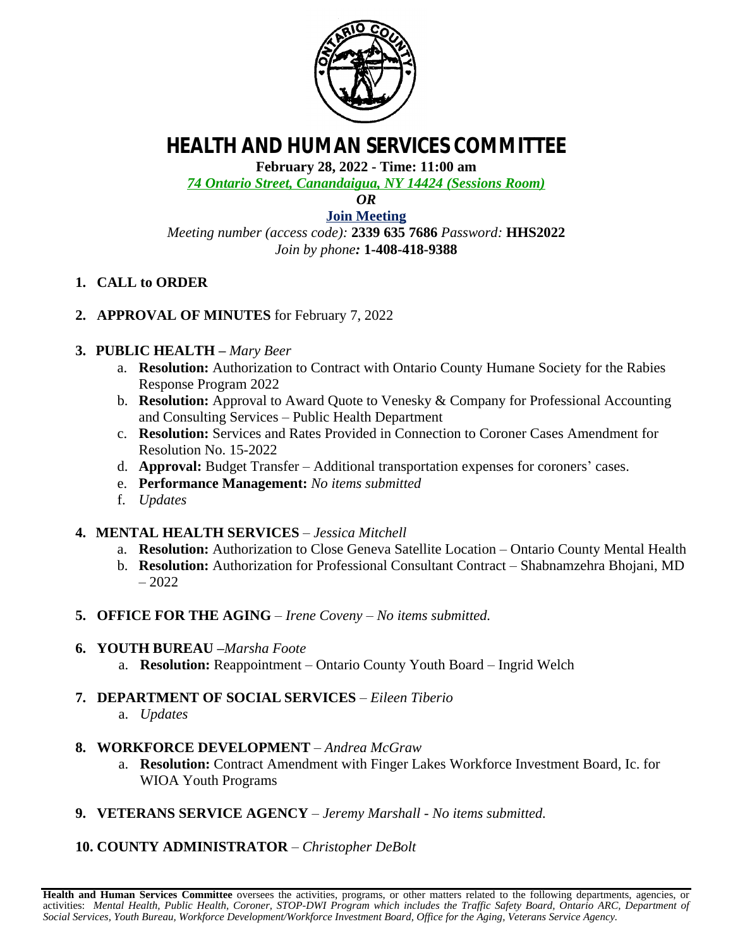

# **HEALTH AND HUMAN SERVICES COMMITTEE**

**February 28, 2022 - Time: 11:00 am**

*74 Ontario Street, Canandaigua, NY 14424 (Sessions Room)*

*OR*

**[Join Meeting](https://ontariocountyny.webex.com/)** *Meeting number (access code):* **2339 635 7686** *Password:* **HHS2022** *Join by phone:* **1-408-418-9388**

- **1. CALL to ORDER**
- **2. APPROVAL OF MINUTES** for February 7, 2022

### **3. PUBLIC HEALTH –** *Mary Beer*

- a. **Resolution:** Authorization to Contract with Ontario County Humane Society for the Rabies Response Program 2022
- b. **Resolution:** Approval to Award Quote to Venesky & Company for Professional Accounting and Consulting Services – Public Health Department
- c. **Resolution:** Services and Rates Provided in Connection to Coroner Cases Amendment for Resolution No. 15-2022
- d. **Approval:** Budget Transfer Additional transportation expenses for coroners' cases.
- e. **Performance Management:** *No items submitted*
- f. *Updates*

#### **4. MENTAL HEALTH SERVICES** – *Jessica Mitchell*

- a. **Resolution:** Authorization to Close Geneva Satellite Location Ontario County Mental Health
- b. **Resolution:** Authorization for Professional Consultant Contract Shabnamzehra Bhojani, MD – 2022
- **5. OFFICE FOR THE AGING** *– Irene Coveny – No items submitted.*
- **6. YOUTH BUREAU –***Marsha Foote*
	- a. **Resolution:** Reappointment Ontario County Youth Board Ingrid Welch
- **7. DEPARTMENT OF SOCIAL SERVICES** *Eileen Tiberio*
	- a. *Updates*
- **8. WORKFORCE DEVELOPMENT** *– Andrea McGraw*
	- a. **Resolution:** Contract Amendment with Finger Lakes Workforce Investment Board, Ic. for WIOA Youth Programs
- **9. VETERANS SERVICE AGENCY** *– Jeremy Marshall No items submitted.*

## **10. COUNTY ADMINISTRATOR** *– Christopher DeBolt*